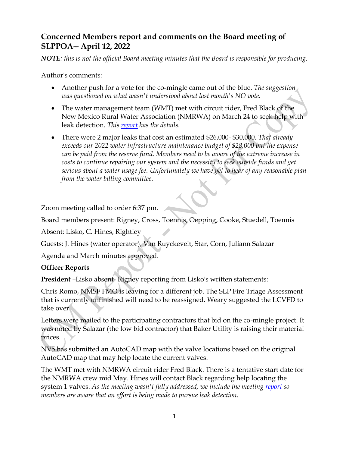# **Concerned Members report and comments on the Board meeting of SLPPOA-- April 12, 2022**

*NOTE: this is not the official Board meeting minutes that the Board is responsible for producing.*

Author's comments:

- Another push for a vote for the co-mingle came out of the blue. *The suggestion was questioned on what wasn't understood about last month's NO vote.*
- The water management team (WMT) met with circuit rider, Fred Black of the New Mexico Rural Water Association (NMRWA) on March 24 to seek help with leak detection. *This [report](http://www.cmslppoa.org/pdf/Mar%2024.pdf) has the details.*
- There were 2 major leaks that cost an estimated \$26,000- \$30,000*. That already exceeds our 2022 water infrastructure maintenance budget of \$28,000 but the expense can be paid from the reserve fund. Members need to be aware of the extreme increase in costs to continue repairing our system and the necessity to seek outside funds and get serious about a water usage fee. Unfortunately we have yet to hear of any reasonable plan from the water billing committee.*

Zoom meeting called to order 6:37 pm.

Board members present: Rigney, Cross, Toennis, Oepping, Cooke, Stuedell, Toennis

Absent: Lisko, C. Hines, Rightley

Guests: J. Hines (water operator), Van Ruyckevelt, Star, Corn, Juliann Salazar

Agenda and March minutes approved.

# **Officer Reports**

**President** –Lisko absent- Rigney reporting from Lisko's written statements:

Chris Romo, NMSF FMO is leaving for a different job. The SLP Fire Triage Assessment that is currently unfinished will need to be reassigned. Weary suggested the LCVFD to take over.

Letters were mailed to the participating contractors that bid on the co-mingle project. It was noted by Salazar (the low bid contractor) that Baker Utility is raising their material prices.

NV5 has submitted an AutoCAD map with the valve locations based on the original AutoCAD map that may help locate the current valves.

The WMT met with NMRWA circuit rider Fred Black. There is a tentative start date for the NMRWA crew mid May. Hines will contact Black regarding help locating the system 1 valves. *As the meeting wasn't fully addressed, we include the meeting [report](http://www.cmslppoa.org/pdf/Mar%2024.pdf) so members are aware that an effort is being made to pursue leak detection.*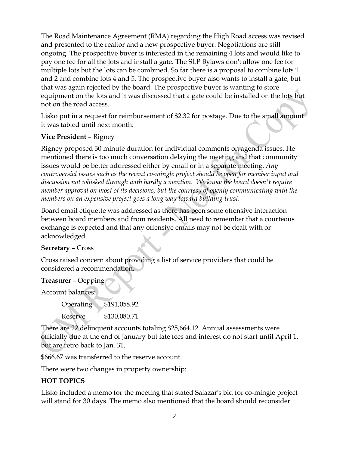The Road Maintenance Agreement (RMA) regarding the High Road access was revised and presented to the realtor and a new prospective buyer. Negotiations are still ongoing. The prospective buyer is interested in the remaining 4 lots and would like to pay one fee for all the lots and install a gate. The SLP Bylaws don't allow one fee for multiple lots but the lots can be combined. So far there is a proposal to combine lots 1 and 2 and combine lots 4 and 5. The prospective buyer also wants to install a gate, but that was again rejected by the board. The prospective buyer is wanting to store equipment on the lots and it was discussed that a gate could be installed on the lots but not on the road access.

Lisko put in a request for reimbursement of \$2.32 for postage. Due to the small amount it was tabled until next month.

# **Vice President** – Rigney

Rigney proposed 30 minute duration for individual comments on agenda issues. He mentioned there is too much conversation delaying the meeting and that community issues would be better addressed either by email or in a separate meeting. *Any controversial issues such as the recent co-mingle project should be open for member input and discussion not whisked through with hardly a mention. We know the board doesn't require member approval on most of its decisions, but the courtesy of openly communicating with the members on an expensive project goes a long way toward building trust.*

Board email etiquette was addressed as there has been some offensive interaction between board members and from residents. All need to remember that a courteous exchange is expected and that any offensive emails may not be dealt with or acknowledged.

#### **Secretary** – Cross

Cross raised concern about providing a list of service providers that could be considered a recommendation.

#### **Treasurer** – Oepping

Account balances:

Operating \$191,058.92

Reserve \$130,080.71

There are 22 delinquent accounts totaling \$25,664.12. Annual assessments were officially due at the end of January but late fees and interest do not start until April 1, but are retro back to Jan. 31.

\$666.67 was transferred to the reserve account.

There were two changes in property ownership:

#### **HOT TOPICS**

Lisko included a memo for the meeting that stated Salazar's bid for co-mingle project will stand for 30 days. The memo also mentioned that the board should reconsider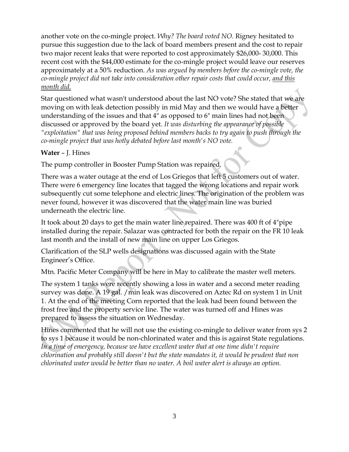another vote on the co-mingle project. *Why? The board voted NO.* Rigney hesitated to pursue this suggestion due to the lack of board members present and the cost to repair two major recent leaks that were reported to cost approximately \$26,000- 30,000. This recent cost with the \$44,000 estimate for the co-mingle project would leave our reserves approximately at a 50% reduction. *As was argued by members before the co-mingle vote, the co-mingle project did not take into consideration other repair costs that could occur, and this month did.*

Star questioned what wasn't understood about the last NO vote? She stated that we are moving on with leak detection possibly in mid May and then we would have a better understanding of the issues and that 4" as opposed to 6" main lines had not been discussed or approved by the board yet. *It was disturbing the appearance of possible "exploitation" that was being proposed behind members backs to try again to push through the co-mingle project that was hotly debated before last month's NO vote.*

### **Water** – J. Hines

The pump controller in Booster Pump Station was repaired.

There was a water outage at the end of Los Griegos that left 5 customers out of water. There were 6 emergency line locates that tagged the wrong locations and repair work subsequently cut some telephone and electric lines. The origination of the problem was never found, however it was discovered that the water main line was buried underneath the electric line.

It took about 20 days to get the main water line repaired. There was 400 ft of 4"pipe installed during the repair. Salazar was contracted for both the repair on the FR 10 leak last month and the install of new main line on upper Los Griegos.

Clarification of the SLP wells designations was discussed again with the State Engineer's Office.

Mtn. Pacific Meter Company will be here in May to calibrate the master well meters.

The system 1 tanks were recently showing a loss in water and a second meter reading survey was done. A 19 gal. / min leak was discovered on Aztec Rd on system 1 in Unit 1. At the end of the meeting Corn reported that the leak had been found between the frost free and the property service line. The water was turned off and Hines was prepared to assess the situation on Wednesday.

Hines commented that he will not use the existing co-mingle to deliver water from sys 2 to sys 1 because it would be non-chlorinated water and this is against State regulations. *In a time of emergency, because we have excellent water that at one time didn't require chlorination and probably still doesn't but the state mandates it, it would be prudent that non chlorinated water would be better than no water. A boil water alert is always an option.*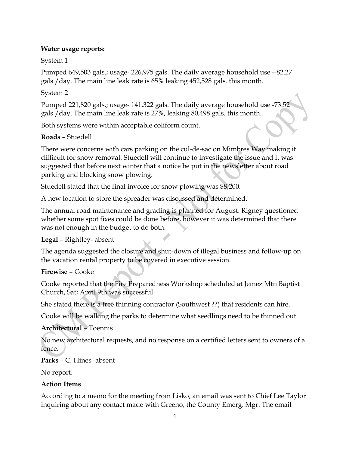# **Water usage reports:**

# System 1

Pumped 649,503 gals.; usage- 226,975 gals. The daily average household use --82.27 gals./day. The main line leak rate is 65% leaking 452,528 gals. this month.

### System 2

Pumped 221,820 gals.; usage- 141,322 gals. The daily average household use -73.52 gals./day. The main line leak rate is 27%, leaking 80,498 gals. this month.

Both systems were within acceptable coliform count.

### **Roads** – Stuedell

There were concerns with cars parking on the cul-de-sac on Mimbres Way making it difficult for snow removal. Stuedell will continue to investigate the issue and it was suggested that before next winter that a notice be put in the newsletter about road parking and blocking snow plowing.

Stuedell stated that the final invoice for snow plowing was \$8,200.

A new location to store the spreader was discussed and determined.'

The annual road maintenance and grading is planned for August. Rigney questioned whether some spot fixes could be done before, however it was determined that there was not enough in the budget to do both.

# **Legal** – Rightley- absent

The agenda suggested the closure and shut-down of illegal business and follow-up on the vacation rental property to be covered in executive session.

#### **Firewise** – Cooke

Cooke reported that the Fire Preparedness Workshop scheduled at Jemez Mtn Baptist Church, Sat; April 9th was successful.

She stated there is a tree thinning contractor (Southwest ??) that residents can hire.

Cooke will be walking the parks to determine what seedlings need to be thinned out.

# **Architectural** – Toennis

No new architectural requests, and no response on a certified letters sent to owners of a fence.

# **Parks** – C. Hines- absent

No report.

#### **Action Items**

According to a memo for the meeting from Lisko, an email was sent to Chief Lee Taylor inquiring about any contact made with Greeno, the County Emerg. Mgr. The email